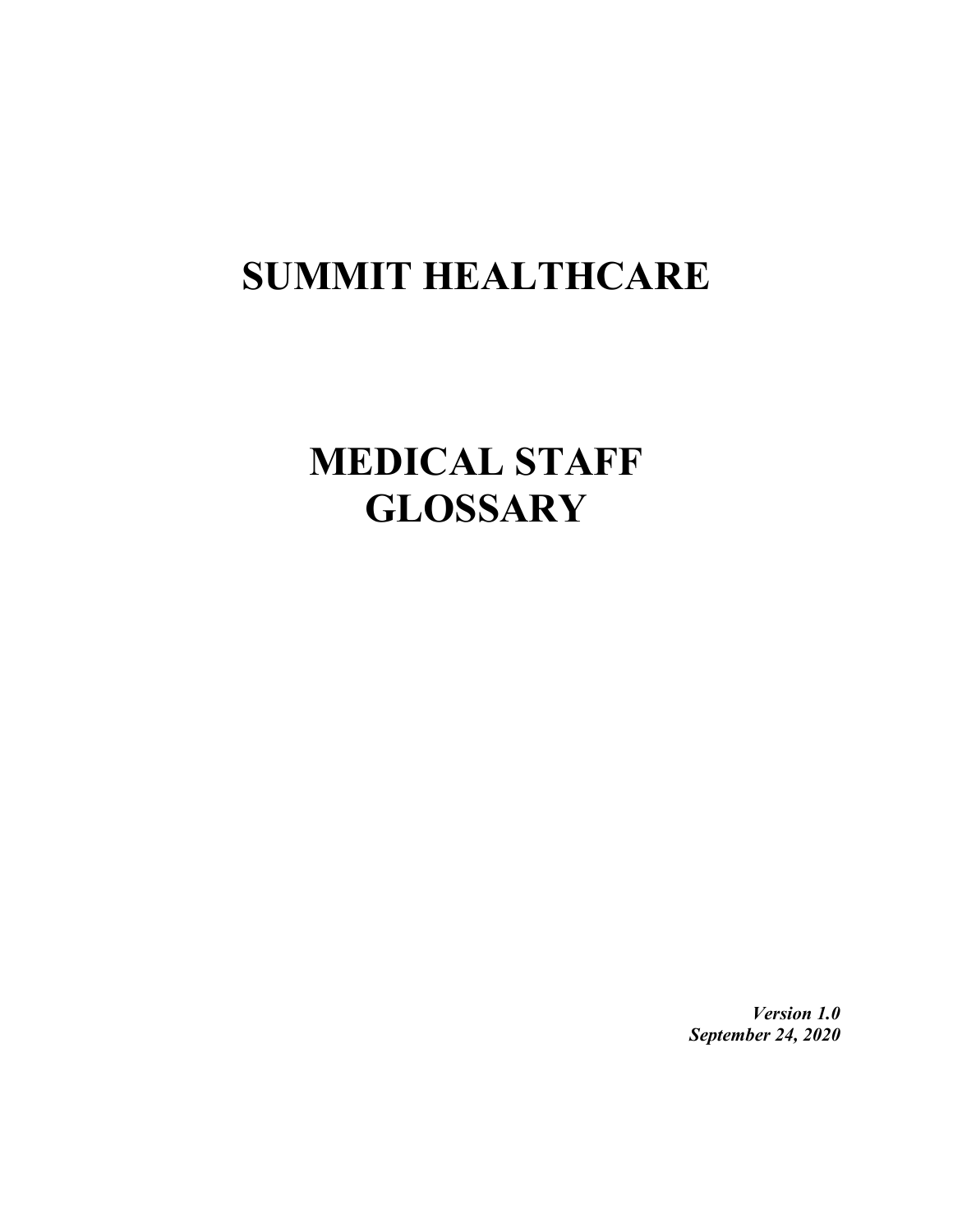## **SUMMIT HEALTHCARE**

## **MEDICAL STAFF GLOSSARY**

*Version 1.0 September 24, 2020*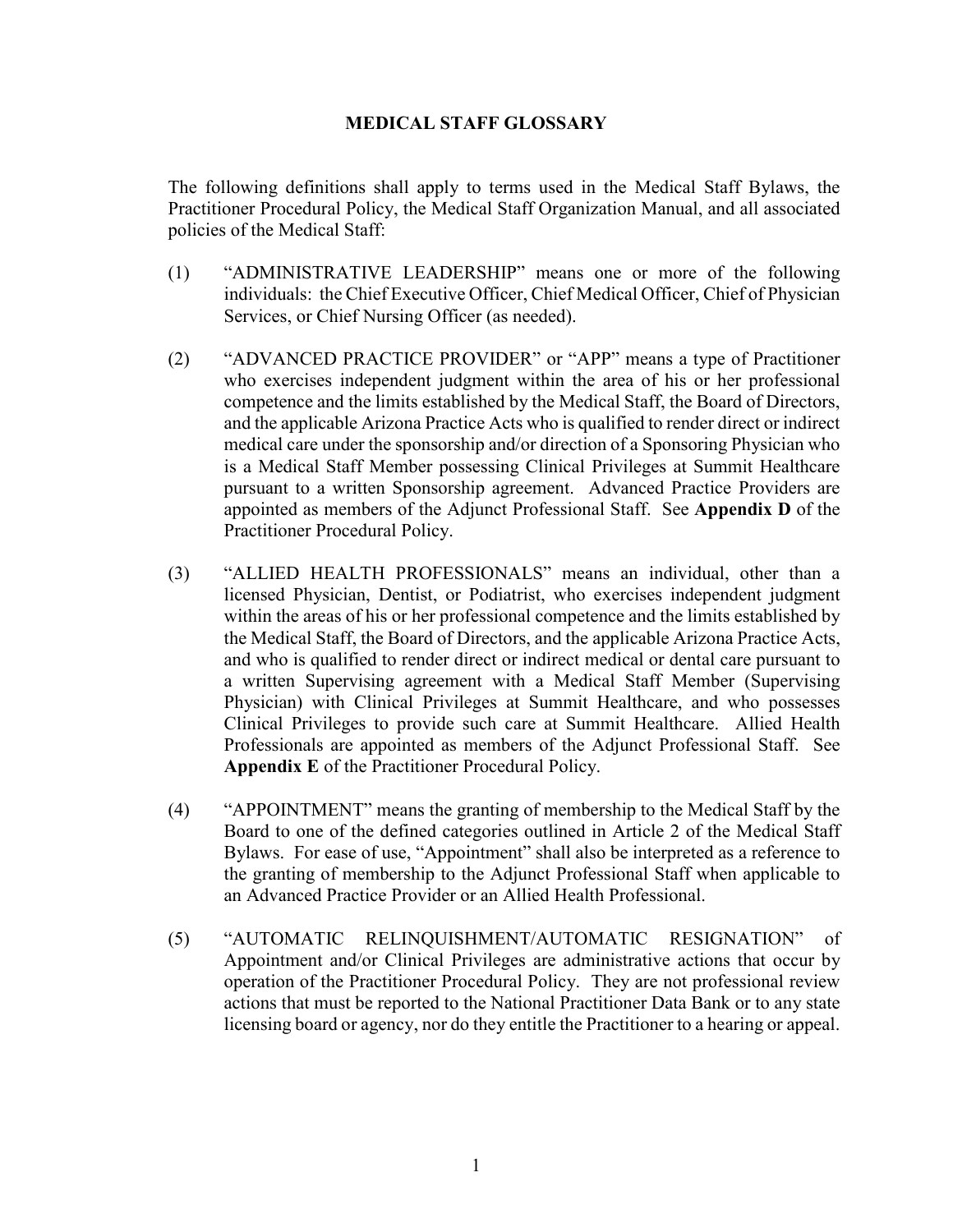## **MEDICAL STAFF GLOSSARY**

The following definitions shall apply to terms used in the Medical Staff Bylaws, the Practitioner Procedural Policy, the Medical Staff Organization Manual, and all associated policies of the Medical Staff:

- (1) "ADMINISTRATIVE LEADERSHIP" means one or more of the following individuals: the Chief Executive Officer, Chief Medical Officer, Chief of Physician Services, or Chief Nursing Officer (as needed).
- (2) "ADVANCED PRACTICE PROVIDER" or "APP" means a type of Practitioner who exercises independent judgment within the area of his or her professional competence and the limits established by the Medical Staff, the Board of Directors, and the applicable Arizona Practice Acts who is qualified to render direct or indirect medical care under the sponsorship and/or direction of a Sponsoring Physician who is a Medical Staff Member possessing Clinical Privileges at Summit Healthcare pursuant to a written Sponsorship agreement. Advanced Practice Providers are appointed as members of the Adjunct Professional Staff. See **Appendix D** of the Practitioner Procedural Policy.
- (3) "ALLIED HEALTH PROFESSIONALS" means an individual, other than a licensed Physician, Dentist, or Podiatrist, who exercises independent judgment within the areas of his or her professional competence and the limits established by the Medical Staff, the Board of Directors, and the applicable Arizona Practice Acts, and who is qualified to render direct or indirect medical or dental care pursuant to a written Supervising agreement with a Medical Staff Member (Supervising Physician) with Clinical Privileges at Summit Healthcare, and who possesses Clinical Privileges to provide such care at Summit Healthcare. Allied Health Professionals are appointed as members of the Adjunct Professional Staff. See **Appendix E** of the Practitioner Procedural Policy.
- (4) "APPOINTMENT" means the granting of membership to the Medical Staff by the Board to one of the defined categories outlined in Article 2 of the Medical Staff Bylaws. For ease of use, "Appointment" shall also be interpreted as a reference to the granting of membership to the Adjunct Professional Staff when applicable to an Advanced Practice Provider or an Allied Health Professional.
- (5) "AUTOMATIC RELINQUISHMENT/AUTOMATIC RESIGNATION" of Appointment and/or Clinical Privileges are administrative actions that occur by operation of the Practitioner Procedural Policy. They are not professional review actions that must be reported to the National Practitioner Data Bank or to any state licensing board or agency, nor do they entitle the Practitioner to a hearing or appeal.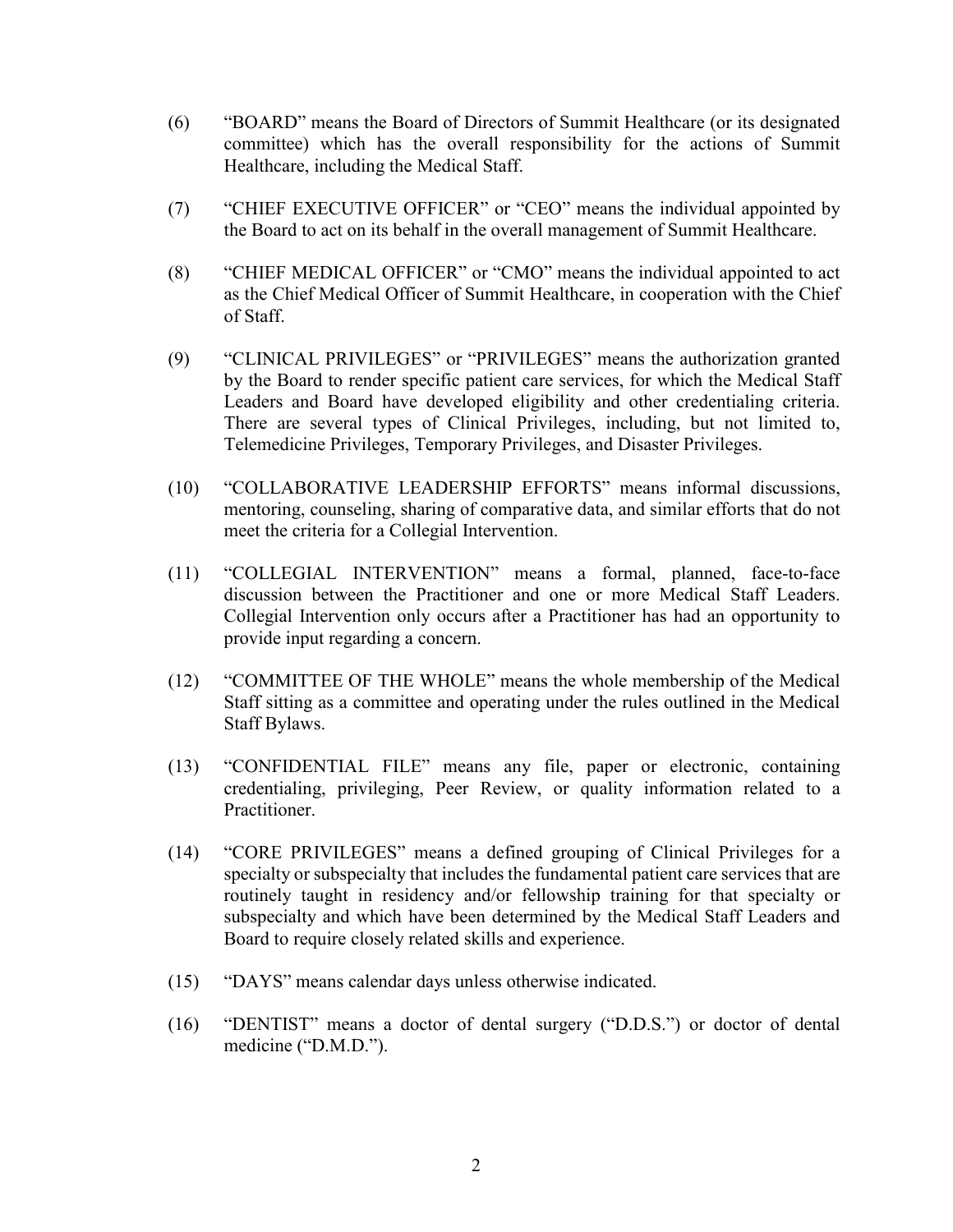- (6) "BOARD" means the Board of Directors of Summit Healthcare (or its designated committee) which has the overall responsibility for the actions of Summit Healthcare, including the Medical Staff.
- (7) "CHIEF EXECUTIVE OFFICER" or "CEO" means the individual appointed by the Board to act on its behalf in the overall management of Summit Healthcare.
- (8) "CHIEF MEDICAL OFFICER" or "CMO" means the individual appointed to act as the Chief Medical Officer of Summit Healthcare, in cooperation with the Chief of Staff.
- (9) "CLINICAL PRIVILEGES" or "PRIVILEGES" means the authorization granted by the Board to render specific patient care services, for which the Medical Staff Leaders and Board have developed eligibility and other credentialing criteria. There are several types of Clinical Privileges, including, but not limited to, Telemedicine Privileges, Temporary Privileges, and Disaster Privileges.
- (10) "COLLABORATIVE LEADERSHIP EFFORTS" means informal discussions, mentoring, counseling, sharing of comparative data, and similar efforts that do not meet the criteria for a Collegial Intervention.
- (11) "COLLEGIAL INTERVENTION" means a formal, planned, face-to-face discussion between the Practitioner and one or more Medical Staff Leaders. Collegial Intervention only occurs after a Practitioner has had an opportunity to provide input regarding a concern.
- (12) "COMMITTEE OF THE WHOLE" means the whole membership of the Medical Staff sitting as a committee and operating under the rules outlined in the Medical Staff Bylaws.
- (13) "CONFIDENTIAL FILE" means any file, paper or electronic, containing credentialing, privileging, Peer Review, or quality information related to a Practitioner.
- (14) "CORE PRIVILEGES" means a defined grouping of Clinical Privileges for a specialty or subspecialty that includes the fundamental patient care services that are routinely taught in residency and/or fellowship training for that specialty or subspecialty and which have been determined by the Medical Staff Leaders and Board to require closely related skills and experience.
- (15) "DAYS" means calendar days unless otherwise indicated.
- (16) "DENTIST" means a doctor of dental surgery ("D.D.S.") or doctor of dental medicine ("D.M.D.").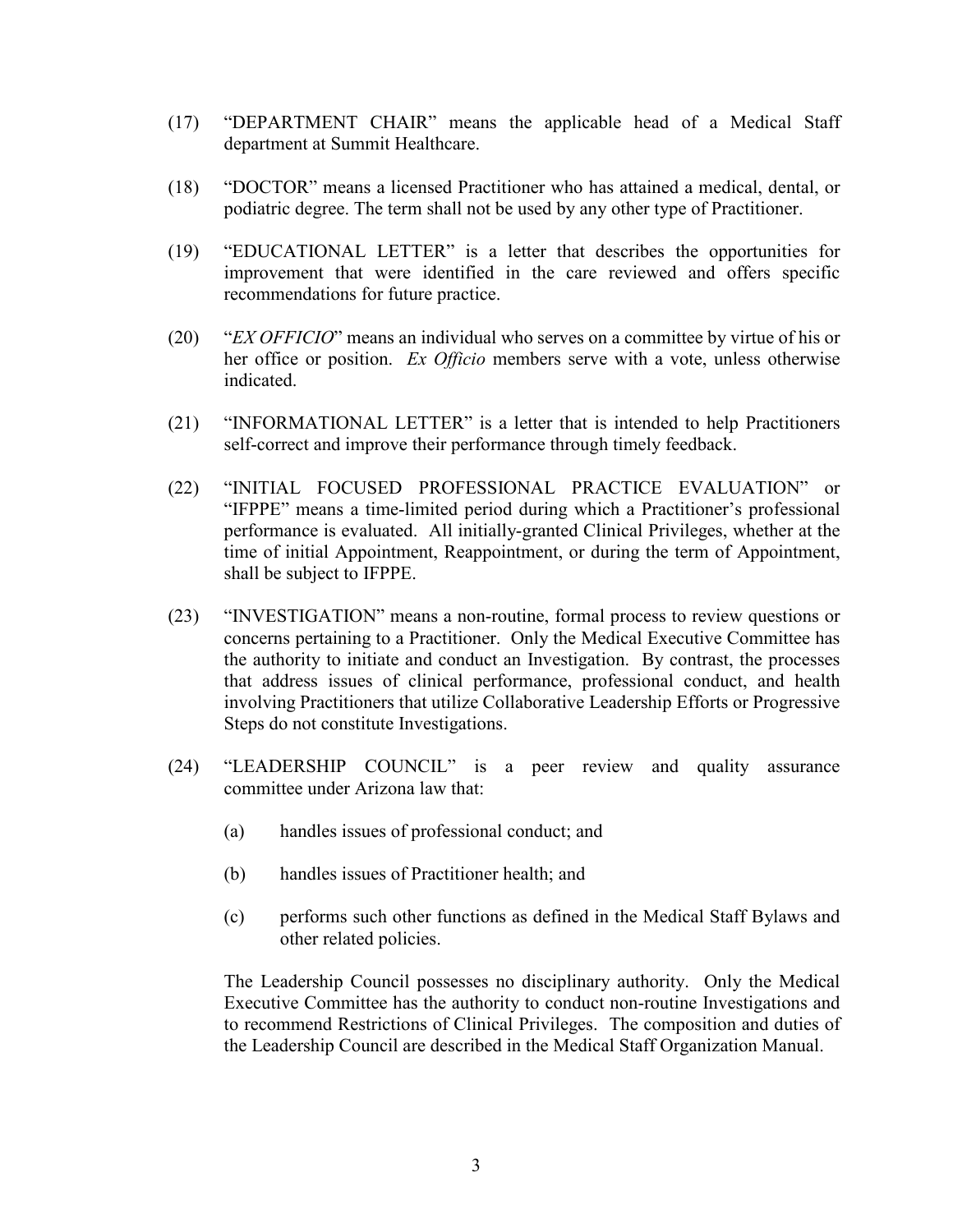- (17) "DEPARTMENT CHAIR" means the applicable head of a Medical Staff department at Summit Healthcare.
- (18) "DOCTOR" means a licensed Practitioner who has attained a medical, dental, or podiatric degree. The term shall not be used by any other type of Practitioner.
- (19) "EDUCATIONAL LETTER" is a letter that describes the opportunities for improvement that were identified in the care reviewed and offers specific recommendations for future practice.
- (20) "*EX OFFICIO*" means an individual who serves on a committee by virtue of his or her office or position. *Ex Officio* members serve with a vote, unless otherwise indicated.
- (21) "INFORMATIONAL LETTER" is a letter that is intended to help Practitioners self-correct and improve their performance through timely feedback.
- (22) "INITIAL FOCUSED PROFESSIONAL PRACTICE EVALUATION" or "IFPPE" means a time-limited period during which a Practitioner's professional performance is evaluated. All initially-granted Clinical Privileges, whether at the time of initial Appointment, Reappointment, or during the term of Appointment, shall be subject to IFPPE.
- (23) "INVESTIGATION" means a non-routine, formal process to review questions or concerns pertaining to a Practitioner. Only the Medical Executive Committee has the authority to initiate and conduct an Investigation. By contrast, the processes that address issues of clinical performance, professional conduct, and health involving Practitioners that utilize Collaborative Leadership Efforts or Progressive Steps do not constitute Investigations.
- (24) "LEADERSHIP COUNCIL" is a peer review and quality assurance committee under Arizona law that:
	- (a) handles issues of professional conduct; and
	- (b) handles issues of Practitioner health; and
	- (c) performs such other functions as defined in the Medical Staff Bylaws and other related policies.

The Leadership Council possesses no disciplinary authority. Only the Medical Executive Committee has the authority to conduct non-routine Investigations and to recommend Restrictions of Clinical Privileges. The composition and duties of the Leadership Council are described in the Medical Staff Organization Manual.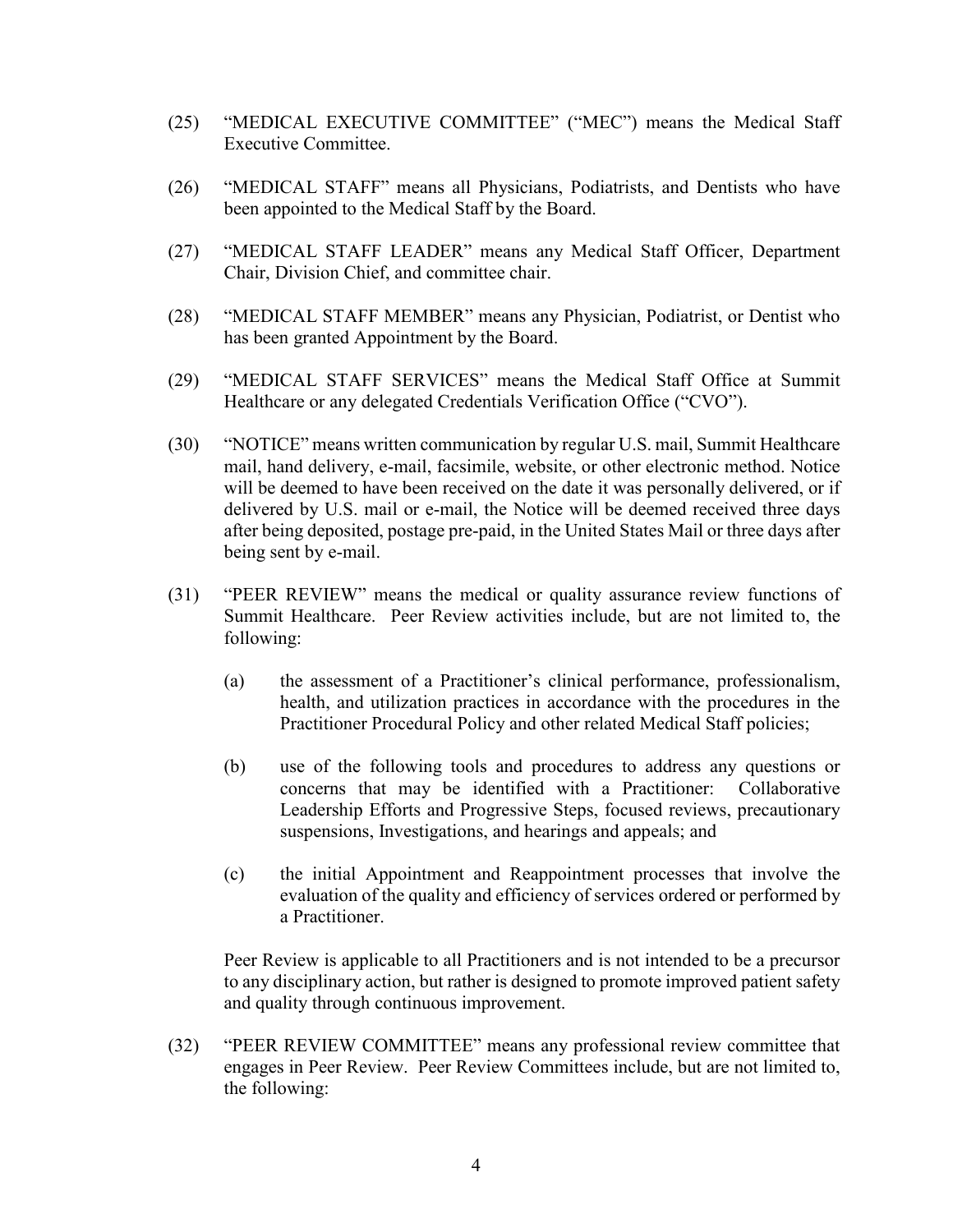- (25) "MEDICAL EXECUTIVE COMMITTEE" ("MEC") means the Medical Staff Executive Committee.
- (26) "MEDICAL STAFF" means all Physicians, Podiatrists, and Dentists who have been appointed to the Medical Staff by the Board.
- (27) "MEDICAL STAFF LEADER" means any Medical Staff Officer, Department Chair, Division Chief, and committee chair.
- (28) "MEDICAL STAFF MEMBER" means any Physician, Podiatrist, or Dentist who has been granted Appointment by the Board.
- (29) "MEDICAL STAFF SERVICES" means the Medical Staff Office at Summit Healthcare or any delegated Credentials Verification Office ("CVO").
- (30) "NOTICE" means written communication by regular U.S. mail, Summit Healthcare mail, hand delivery, e-mail, facsimile, website, or other electronic method. Notice will be deemed to have been received on the date it was personally delivered, or if delivered by U.S. mail or e-mail, the Notice will be deemed received three days after being deposited, postage pre-paid, in the United States Mail or three days after being sent by e-mail.
- (31) "PEER REVIEW" means the medical or quality assurance review functions of Summit Healthcare. Peer Review activities include, but are not limited to, the following:
	- (a) the assessment of a Practitioner's clinical performance, professionalism, health, and utilization practices in accordance with the procedures in the Practitioner Procedural Policy and other related Medical Staff policies;
	- (b) use of the following tools and procedures to address any questions or concerns that may be identified with a Practitioner: Collaborative Leadership Efforts and Progressive Steps, focused reviews, precautionary suspensions, Investigations, and hearings and appeals; and
	- (c) the initial Appointment and Reappointment processes that involve the evaluation of the quality and efficiency of services ordered or performed by a Practitioner.

Peer Review is applicable to all Practitioners and is not intended to be a precursor to any disciplinary action, but rather is designed to promote improved patient safety and quality through continuous improvement.

(32) "PEER REVIEW COMMITTEE" means any professional review committee that engages in Peer Review. Peer Review Committees include, but are not limited to, the following: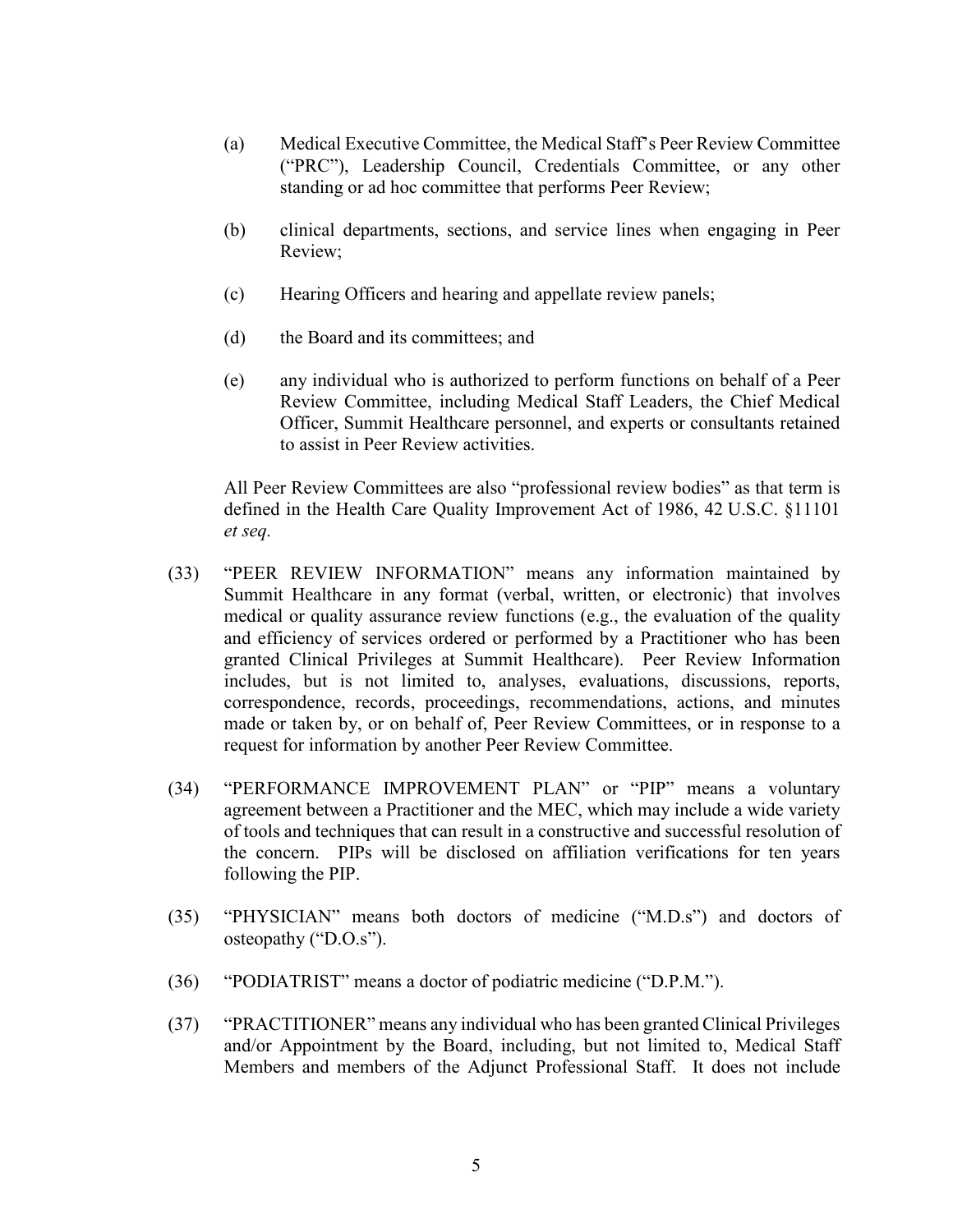- (a) Medical Executive Committee, the Medical Staff's Peer Review Committee ("PRC"), Leadership Council, Credentials Committee, or any other standing or ad hoc committee that performs Peer Review;
- (b) clinical departments, sections, and service lines when engaging in Peer Review;
- (c) Hearing Officers and hearing and appellate review panels;
- (d) the Board and its committees; and
- (e) any individual who is authorized to perform functions on behalf of a Peer Review Committee, including Medical Staff Leaders, the Chief Medical Officer, Summit Healthcare personnel, and experts or consultants retained to assist in Peer Review activities.

All Peer Review Committees are also "professional review bodies" as that term is defined in the Health Care Quality Improvement Act of 1986, 42 U.S.C. §11101 *et seq.*

- (33) "PEER REVIEW INFORMATION" means any information maintained by Summit Healthcare in any format (verbal, written, or electronic) that involves medical or quality assurance review functions (e.g., the evaluation of the quality and efficiency of services ordered or performed by a Practitioner who has been granted Clinical Privileges at Summit Healthcare). Peer Review Information includes, but is not limited to, analyses, evaluations, discussions, reports, correspondence, records, proceedings, recommendations, actions, and minutes made or taken by, or on behalf of, Peer Review Committees, or in response to a request for information by another Peer Review Committee.
- (34) "PERFORMANCE IMPROVEMENT PLAN" or "PIP" means a voluntary agreement between a Practitioner and the MEC, which may include a wide variety of tools and techniques that can result in a constructive and successful resolution of the concern. PIPs will be disclosed on affiliation verifications for ten years following the PIP.
- (35) "PHYSICIAN" means both doctors of medicine ("M.D.s") and doctors of osteopathy ("D.O.s").
- (36) "PODIATRIST" means a doctor of podiatric medicine ("D.P.M.").
- (37) "PRACTITIONER" means any individual who has been granted Clinical Privileges and/or Appointment by the Board, including, but not limited to, Medical Staff Members and members of the Adjunct Professional Staff. It does not include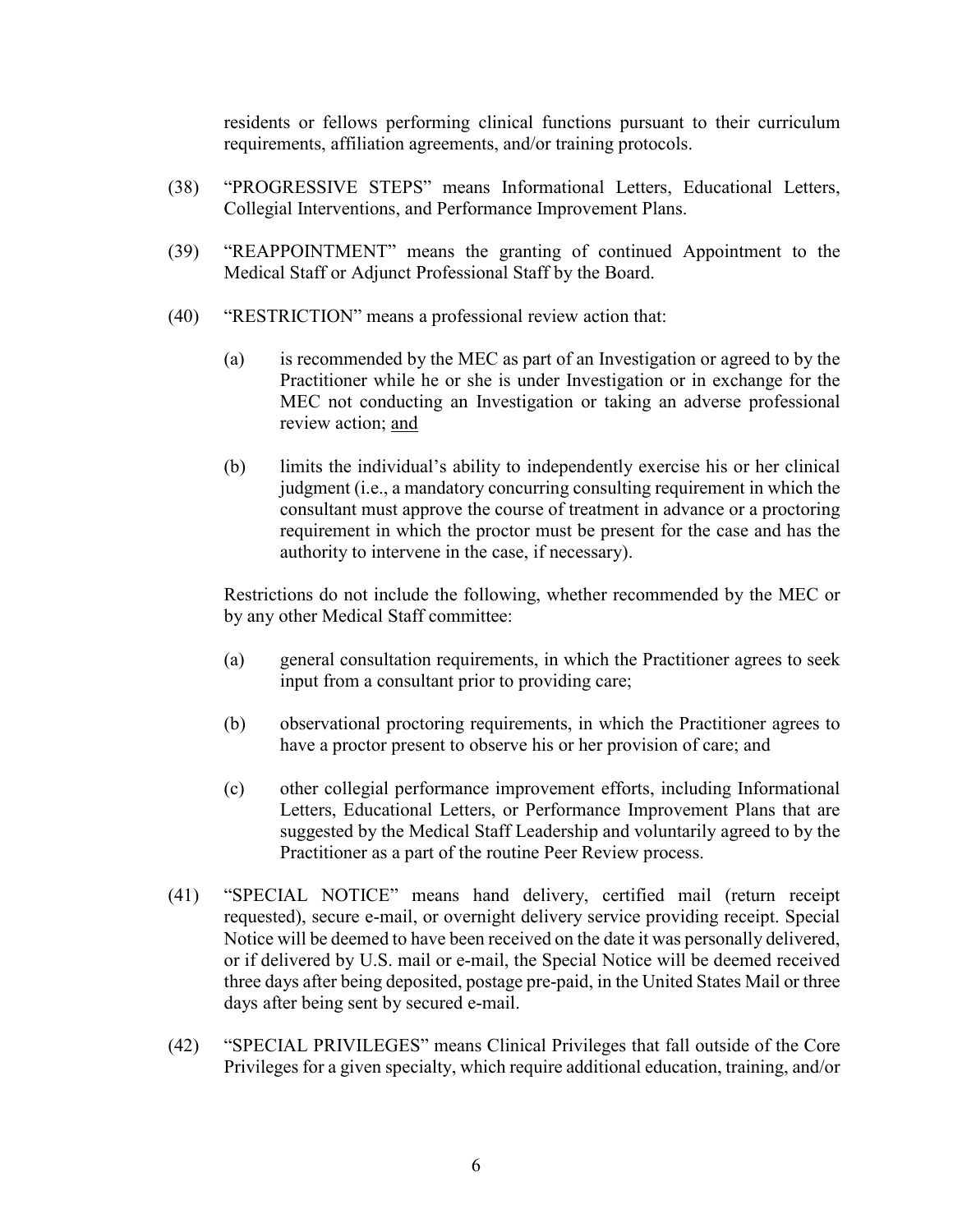residents or fellows performing clinical functions pursuant to their curriculum requirements, affiliation agreements, and/or training protocols.

- (38) "PROGRESSIVE STEPS" means Informational Letters, Educational Letters, Collegial Interventions, and Performance Improvement Plans.
- (39) "REAPPOINTMENT" means the granting of continued Appointment to the Medical Staff or Adjunct Professional Staff by the Board.
- (40) "RESTRICTION" means a professional review action that:
	- (a) is recommended by the MEC as part of an Investigation or agreed to by the Practitioner while he or she is under Investigation or in exchange for the MEC not conducting an Investigation or taking an adverse professional review action; and
	- (b) limits the individual's ability to independently exercise his or her clinical judgment (i.e., a mandatory concurring consulting requirement in which the consultant must approve the course of treatment in advance or a proctoring requirement in which the proctor must be present for the case and has the authority to intervene in the case, if necessary).

Restrictions do not include the following, whether recommended by the MEC or by any other Medical Staff committee:

- (a) general consultation requirements, in which the Practitioner agrees to seek input from a consultant prior to providing care;
- (b) observational proctoring requirements, in which the Practitioner agrees to have a proctor present to observe his or her provision of care; and
- (c) other collegial performance improvement efforts, including Informational Letters, Educational Letters, or Performance Improvement Plans that are suggested by the Medical Staff Leadership and voluntarily agreed to by the Practitioner as a part of the routine Peer Review process.
- (41) "SPECIAL NOTICE" means hand delivery, certified mail (return receipt requested), secure e-mail, or overnight delivery service providing receipt. Special Notice will be deemed to have been received on the date it was personally delivered, or if delivered by U.S. mail or e-mail, the Special Notice will be deemed received three days after being deposited, postage pre-paid, in the United States Mail or three days after being sent by secured e-mail.
- (42) "SPECIAL PRIVILEGES" means Clinical Privileges that fall outside of the Core Privileges for a given specialty, which require additional education, training, and/or